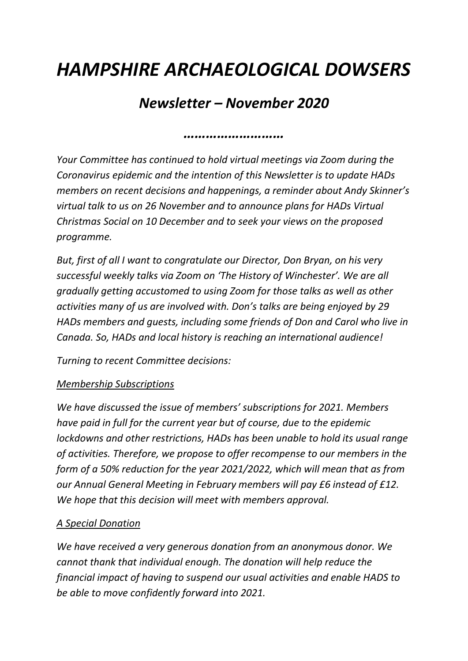# *HAMPSHIRE ARCHAEOLOGICAL DOWSERS*

# *Newsletter – November 2020*

*………………………*

*Your Committee has continued to hold virtual meetings via Zoom during the Coronavirus epidemic and the intention of this Newsletter is to update HADs members on recent decisions and happenings, a reminder about Andy Skinner's virtual talk to us on 26 November and to announce plans for HADs Virtual Christmas Social on 10 December and to seek your views on the proposed programme.*

*But, first of all I want to congratulate our Director, Don Bryan, on his very successful weekly talks via Zoom on 'The History of Winchester'. We are all gradually getting accustomed to using Zoom for those talks as well as other activities many of us are involved with. Don's talks are being enjoyed by 29 HADs members and guests, including some friends of Don and Carol who live in Canada. So, HADs and local history is reaching an international audience!*

*Turning to recent Committee decisions:*

#### *Membership Subscriptions*

*We have discussed the issue of members' subscriptions for 2021. Members have paid in full for the current year but of course, due to the epidemic lockdowns and other restrictions, HADs has been unable to hold its usual range of activities. Therefore, we propose to offer recompense to our members in the form of a 50% reduction for the year 2021/2022, which will mean that as from our Annual General Meeting in February members will pay £6 instead of £12. We hope that this decision will meet with members approval.*

## *A Special Donation*

*We have received a very generous donation from an anonymous donor. We cannot thank that individual enough. The donation will help reduce the financial impact of having to suspend our usual activities and enable HADS to be able to move confidently forward into 2021.*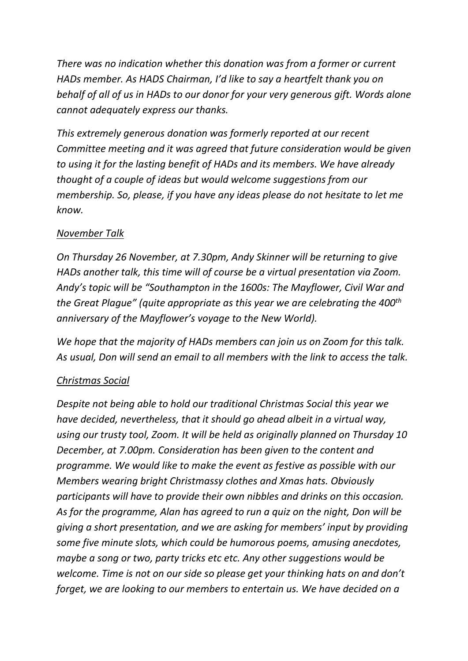*There was no indication whether this donation was from a former or current HADs member. As HADS Chairman, I'd like to say a heartfelt thank you on behalf of all of us in HADs to our donor for your very generous gift. Words alone cannot adequately express our thanks.*

*This extremely generous donation was formerly reported at our recent Committee meeting and it was agreed that future consideration would be given to using it for the lasting benefit of HADs and its members. We have already thought of a couple of ideas but would welcome suggestions from our membership. So, please, if you have any ideas please do not hesitate to let me know.*

### *November Talk*

*On Thursday 26 November, at 7.30pm, Andy Skinner will be returning to give HADs another talk, this time will of course be a virtual presentation via Zoom. Andy's topic will be "Southampton in the 1600s: The Mayflower, Civil War and the Great Plague" (quite appropriate as this year we are celebrating the 400th anniversary of the Mayflower's voyage to the New World).*

*We hope that the majority of HADs members can join us on Zoom for this talk. As usual, Don will send an email to all members with the link to access the talk.*

#### *Christmas Social*

*Despite not being able to hold our traditional Christmas Social this year we have decided, nevertheless, that it should go ahead albeit in a virtual way, using our trusty tool, Zoom. It will be held as originally planned on Thursday 10 December, at 7.00pm. Consideration has been given to the content and programme. We would like to make the event as festive as possible with our Members wearing bright Christmassy clothes and Xmas hats. Obviously participants will have to provide their own nibbles and drinks on this occasion. As for the programme, Alan has agreed to run a quiz on the night, Don will be giving a short presentation, and we are asking for members' input by providing some five minute slots, which could be humorous poems, amusing anecdotes, maybe a song or two, party tricks etc etc. Any other suggestions would be welcome. Time is not on our side so please get your thinking hats on and don't forget, we are looking to our members to entertain us. We have decided on a*